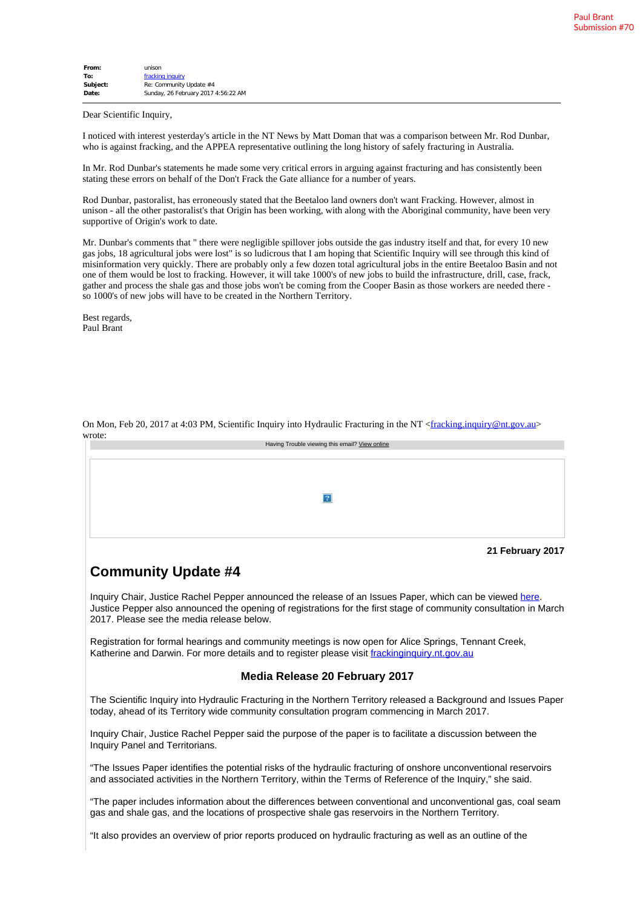| From:    | unison                              |
|----------|-------------------------------------|
| To:      | fracking inquiry                    |
| Subject: | Re: Community Update #4             |
| Date:    | Sunday, 26 February 2017 4:56:22 AM |
|          |                                     |

Dear Scientific Inquiry,

I noticed with interest yesterday's article in the NT News by Matt Doman that was a comparison between Mr. Rod Dunbar, who is against fracking, and the APPEA representative outlining the long history of safely fracturing in Australia.

In Mr. Rod Dunbar's statements he made some very critical errors in arguing against fracturing and has consistently been stating these errors on behalf of the Don't Frack the Gate alliance for a number of years.

Rod Dunbar, pastoralist, has erroneously stated that the Beetaloo land owners don't want Fracking. However, almost in unison - all the other pastoralist's that Origin has been working, with along with the Aboriginal community, have been very supportive of Origin's work to date.

Mr. Dunbar's comments that " there were negligible spillover jobs outside the gas industry itself and that, for every 10 new gas jobs, 18 agricultural jobs were lost" is so ludicrous that I am hoping that Scientific Inquiry will see through this kind of misinformation very quickly. There are probably only a few dozen total agricultural jobs in the entire Beetaloo Basin and not one of them would be lost to fracking. However, it will take 1000's of new jobs to build the infrastructure, drill, case, frack, gather and process the shale gas and those jobs won't be coming from the Cooper Basin as those workers are needed there so 1000's of new jobs will have to be created in the Northern Territory.

Best regards, Paul Brant

| wrote: |                                                |
|--------|------------------------------------------------|
|        | Having Trouble viewing this email? View online |
|        |                                                |
|        |                                                |
|        |                                                |
|        |                                                |
|        |                                                |
|        | 2                                              |
|        |                                                |
|        |                                                |
|        |                                                |
|        |                                                |
|        |                                                |
|        | 21 February 2017                               |
|        |                                                |

On Mon, Feb 20, 2017 at 4:03 PM, Scientific Inquiry into Hydraulic Fracturing in the NT <[fracking.inquiry@nt.gov.au](mailto:fracking.inquiry@nt.gov.au)>

## **Community Update #4**

Inquiry Chair, Justice Rachel Pepper announced the release of an Issues Paper, which can be viewed [here.](https://www.vision6.com.au/ch/48542/17kg1/2303130/4f018t39k.html) Justice Pepper also announced the opening of registrations for the first stage of community consultation in March 2017. Please see the media release below.

Registration for formal hearings and community meetings is now open for Alice Springs, Tennant Creek, Katherine and Darwin. For more details and to register please visit [frackinginquiry.nt.gov.au](https://www.vision6.com.au/ch/48542/17kg1/2303131/4f0185sk8.html)

## **Media Release 20 February 2017**

The Scientific Inquiry into Hydraulic Fracturing in the Northern Territory released a Background and Issues Paper today, ahead of its Territory wide community consultation program commencing in March 2017.

Inquiry Chair, Justice Rachel Pepper said the purpose of the paper is to facilitate a discussion between the Inquiry Panel and Territorians.

"The Issues Paper identifies the potential risks of the hydraulic fracturing of onshore unconventional reservoirs and associated activities in the Northern Territory, within the Terms of Reference of the Inquiry," she said.

"The paper includes information about the differences between conventional and unconventional gas, coal seam gas and shale gas, and the locations of prospective shale gas reservoirs in the Northern Territory.

"It also provides an overview of prior reports produced on hydraulic fracturing as well as an outline of the